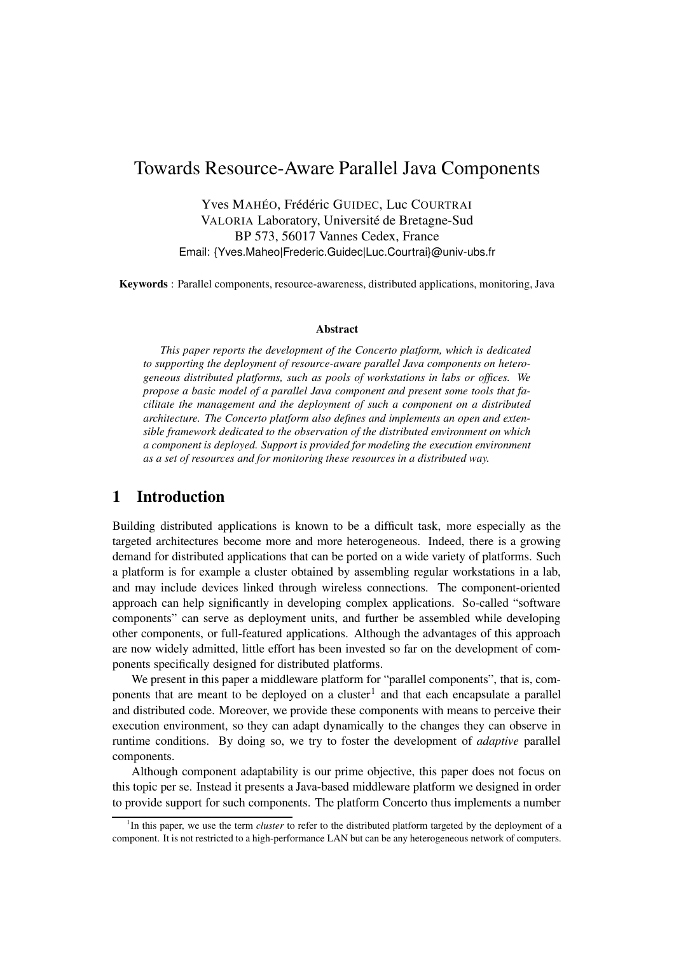# Towards Resource-Aware Parallel Java Components

Yves MAHÉO, Frédéric GUIDEC, Luc COURTRAI VALORIA Laboratory, Université de Bretagne-Sud BP 573, 56017 Vannes Cedex, France Email: {Yves.Maheo|Frederic.Guidec|Luc.Courtrai}@univ-ubs.fr

**Keywords** : Parallel components, resource-awareness, distributed applications, monitoring, Java

#### **Abstract**

*This paper reports the development of the Concerto platform, which is dedicated to supporting the deployment of resource-aware parallel Java components on heterogeneous distributed platforms, such as pools of workstations in labs or offices. We propose a basic model of a parallel Java component and present some tools that facilitate the management and the deployment of such a component on a distributed architecture. The Concerto platform also defines and implements an open and extensible framework dedicated to the observation of the distributed environment on which a component is deployed. Support is provided for modeling the execution environment as a set of resources and for monitoring these resources in a distributed way.*

### **1 Introduction**

Building distributed applications is known to be a difficult task, more especially as the targeted architectures become more and more heterogeneous. Indeed, there is a growing demand for distributed applications that can be ported on a wide variety of platforms. Such a platform is for example a cluster obtained by assembling regular workstations in a lab, and may include devices linked through wireless connections. The component-oriented approach can help significantly in developing complex applications. So-called "software components" can serve as deployment units, and further be assembled while developing other components, or full-featured applications. Although the advantages of this approach are now widely admitted, little effort has been invested so far on the development of components specifically designed for distributed platforms.

We present in this paper a middleware platform for "parallel components", that is, components that are meant to be deployed on a cluster<sup>1</sup> and that each encapsulate a parallel and distributed code. Moreover, we provide these components with means to perceive their execution environment, so they can adapt dynamically to the changes they can observe in runtime conditions. By doing so, we try to foster the development of *adaptive* parallel components.

Although component adaptability is our prime objective, this paper does not focus on this topic per se. Instead it presents a Java-based middleware platform we designed in order to provide support for such components. The platform Concerto thus implements a number

<sup>&</sup>lt;sup>1</sup>In this paper, we use the term *cluster* to refer to the distributed platform targeted by the deployment of a component. It is not restricted to a high-performance LAN but can be any heterogeneous network of computers.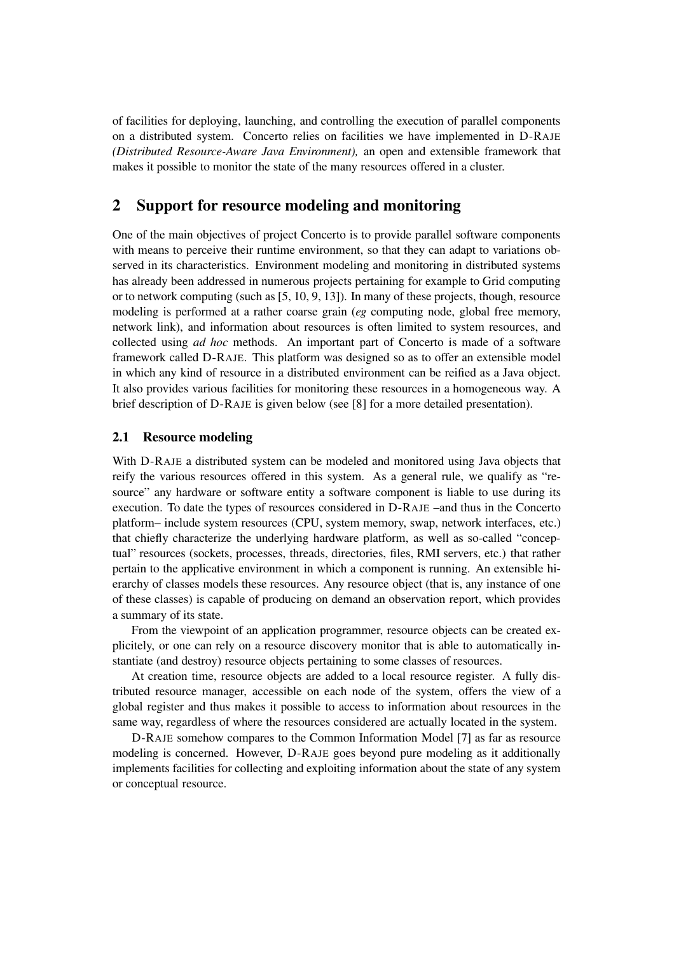of facilities for deploying, launching, and controlling the execution of parallel components on a distributed system. Concerto relies on facilities we have implemented in D-RAJE *(Distributed Resource-Aware Java Environment),* an open and extensible framework that makes it possible to monitor the state of the many resources offered in a cluster.

### **2 Support for resource modeling and monitoring**

One of the main objectives of project Concerto is to provide parallel software components with means to perceive their runtime environment, so that they can adapt to variations observed in its characteristics. Environment modeling and monitoring in distributed systems has already been addressed in numerous projects pertaining for example to Grid computing or to network computing (such as  $[5, 10, 9, 13]$ ). In many of these projects, though, resource modeling is performed at a rather coarse grain (*eg* computing node, global free memory, network link), and information about resources is often limited to system resources, and collected using *ad hoc* methods. An important part of Concerto is made of a software framework called D-RAJE. This platform was designed so as to offer an extensible model in which any kind of resource in a distributed environment can be reified as a Java object. It also provides various facilities for monitoring these resources in a homogeneous way. A brief description of D-RAJE is given below (see [8] for a more detailed presentation).

#### **2.1 Resource modeling**

With D-RAJE a distributed system can be modeled and monitored using Java objects that reify the various resources offered in this system. As a general rule, we qualify as "resource" any hardware or software entity a software component is liable to use during its execution. To date the types of resources considered in D-RAJE –and thus in the Concerto platform– include system resources (CPU, system memory, swap, network interfaces, etc.) that chiefly characterize the underlying hardware platform, as well as so-called "conceptual" resources (sockets, processes, threads, directories, files, RMI servers, etc.) that rather pertain to the applicative environment in which a component is running. An extensible hierarchy of classes models these resources. Any resource object (that is, any instance of one of these classes) is capable of producing on demand an observation report, which provides a summary of its state.

From the viewpoint of an application programmer, resource objects can be created explicitely, or one can rely on a resource discovery monitor that is able to automatically instantiate (and destroy) resource objects pertaining to some classes of resources.

At creation time, resource objects are added to a local resource register. A fully distributed resource manager, accessible on each node of the system, offers the view of a global register and thus makes it possible to access to information about resources in the same way, regardless of where the resources considered are actually located in the system.

D-RAJE somehow compares to the Common Information Model [7] as far as resource modeling is concerned. However, D-RAJE goes beyond pure modeling as it additionally implements facilities for collecting and exploiting information about the state of any system or conceptual resource.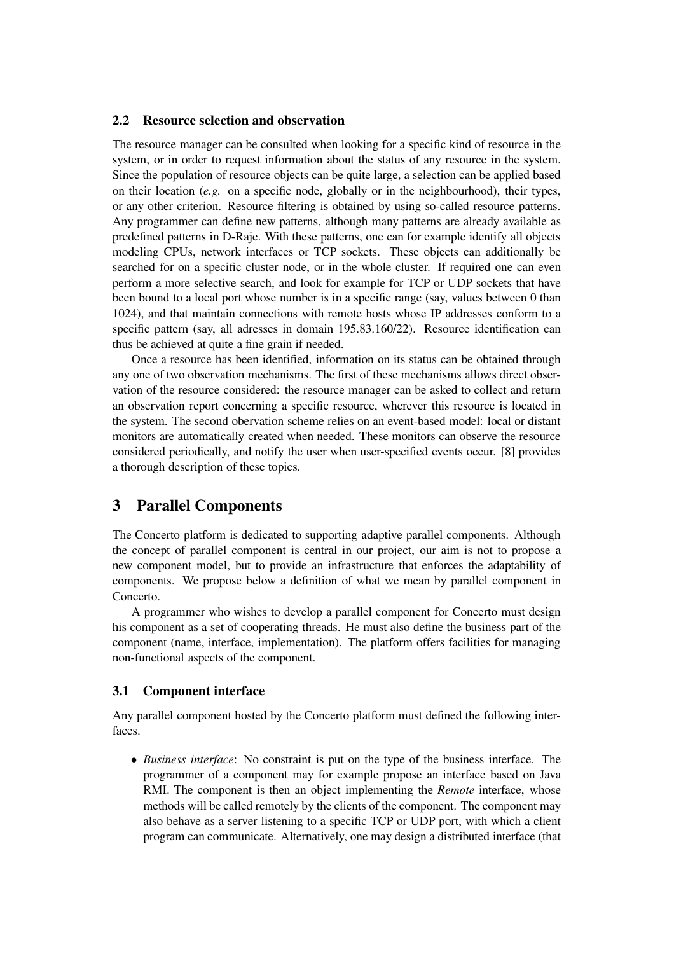#### **2.2 Resource selection and observation**

The resource manager can be consulted when looking for a specific kind of resource in the system, or in order to request information about the status of any resource in the system. Since the population of resource objects can be quite large, a selection can be applied based on their location (*e.g.* on a specific node, globally or in the neighbourhood), their types, or any other criterion. Resource filtering is obtained by using so-called resource patterns. Any programmer can define new patterns, although many patterns are already available as predefined patterns in D-Raje. With these patterns, one can for example identify all objects modeling CPUs, network interfaces or TCP sockets. These objects can additionally be searched for on a specific cluster node, or in the whole cluster. If required one can even perform a more selective search, and look for example for TCP or UDP sockets that have been bound to a local port whose number is in a specific range (say, values between 0 than 1024), and that maintain connections with remote hosts whose IP addresses conform to a specific pattern (say, all adresses in domain 195.83.160/22). Resource identification can thus be achieved at quite a fine grain if needed.

Once a resource has been identified, information on its status can be obtained through any one of two observation mechanisms. The first of these mechanisms allows direct observation of the resource considered: the resource manager can be asked to collect and return an observation report concerning a specific resource, wherever this resource is located in the system. The second obervation scheme relies on an event-based model: local or distant monitors are automatically created when needed. These monitors can observe the resource considered periodically, and notify the user when user-specified events occur. [8] provides a thorough description of these topics.

## **3 Parallel Components**

The Concerto platform is dedicated to supporting adaptive parallel components. Although the concept of parallel component is central in our project, our aim is not to propose a new component model, but to provide an infrastructure that enforces the adaptability of components. We propose below a definition of what we mean by parallel component in Concerto.

A programmer who wishes to develop a parallel component for Concerto must design his component as a set of cooperating threads. He must also define the business part of the component (name, interface, implementation). The platform offers facilities for managing non-functional aspects of the component.

#### **3.1 Component interface**

Any parallel component hosted by the Concerto platform must defined the following interfaces.

• *Business interface*: No constraint is put on the type of the business interface. The programmer of a component may for example propose an interface based on Java RMI. The component is then an object implementing the *Remote* interface, whose methods will be called remotely by the clients of the component. The component may also behave as a server listening to a specific TCP or UDP port, with which a client program can communicate. Alternatively, one may design a distributed interface (that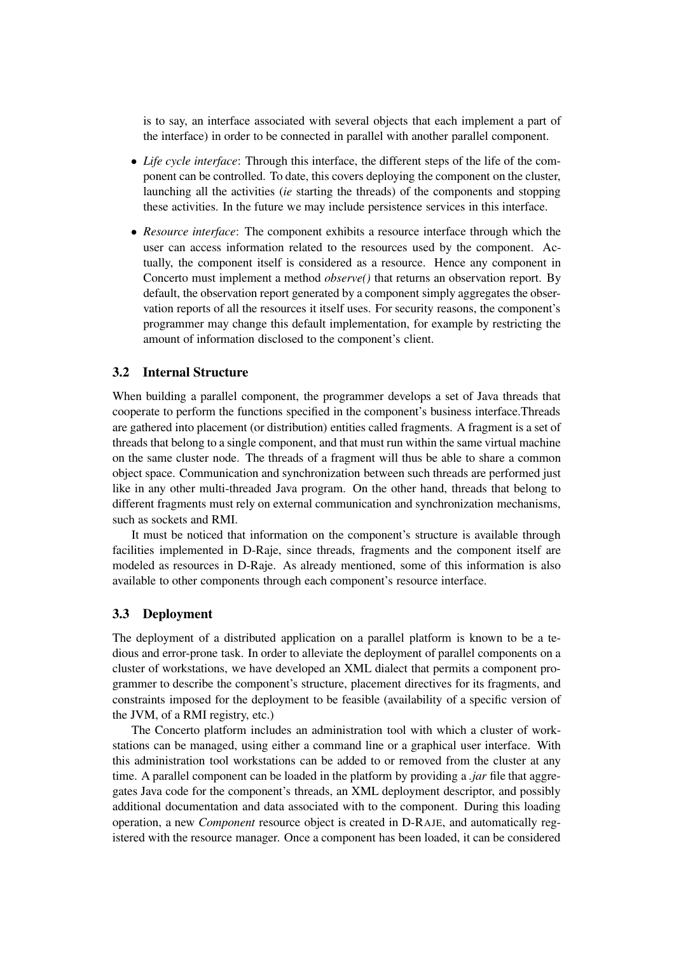is to say, an interface associated with several objects that each implement a part of the interface) in order to be connected in parallel with another parallel component.

- *Life cycle interface*: Through this interface, the different steps of the life of the component can be controlled. To date, this covers deploying the component on the cluster, launching all the activities (*ie* starting the threads) of the components and stopping these activities. In the future we may include persistence services in this interface.
- *Resource interface*: The component exhibits a resource interface through which the user can access information related to the resources used by the component. Actually, the component itself is considered as a resource. Hence any component in Concerto must implement a method *observe()* that returns an observation report. By default, the observation report generated by a component simply aggregates the observation reports of all the resources it itself uses. For security reasons, the component's programmer may change this default implementation, for example by restricting the amount of information disclosed to the component's client.

### **3.2 Internal Structure**

When building a parallel component, the programmer develops a set of Java threads that cooperate to perform the functions specified in the component's business interface.Threads are gathered into placement (or distribution) entities called fragments. A fragment is a set of threads that belong to a single component, and that must run within the same virtual machine on the same cluster node. The threads of a fragment will thus be able to share a common object space. Communication and synchronization between such threads are performed just like in any other multi-threaded Java program. On the other hand, threads that belong to different fragments must rely on external communication and synchronization mechanisms, such as sockets and RMI.

It must be noticed that information on the component's structure is available through facilities implemented in D-Raje, since threads, fragments and the component itself are modeled as resources in D-Raje. As already mentioned, some of this information is also available to other components through each component's resource interface.

#### **3.3 Deployment**

The deployment of a distributed application on a parallel platform is known to be a tedious and error-prone task. In order to alleviate the deployment of parallel components on a cluster of workstations, we have developed an XML dialect that permits a component programmer to describe the component's structure, placement directives for its fragments, and constraints imposed for the deployment to be feasible (availability of a specific version of the JVM, of a RMI registry, etc.)

The Concerto platform includes an administration tool with which a cluster of workstations can be managed, using either a command line or a graphical user interface. With this administration tool workstations can be added to or removed from the cluster at any time. A parallel component can be loaded in the platform by providing a *.jar* file that aggregates Java code for the component's threads, an XML deployment descriptor, and possibly additional documentation and data associated with to the component. During this loading operation, a new *Component* resource object is created in D-RAJE, and automatically registered with the resource manager. Once a component has been loaded, it can be considered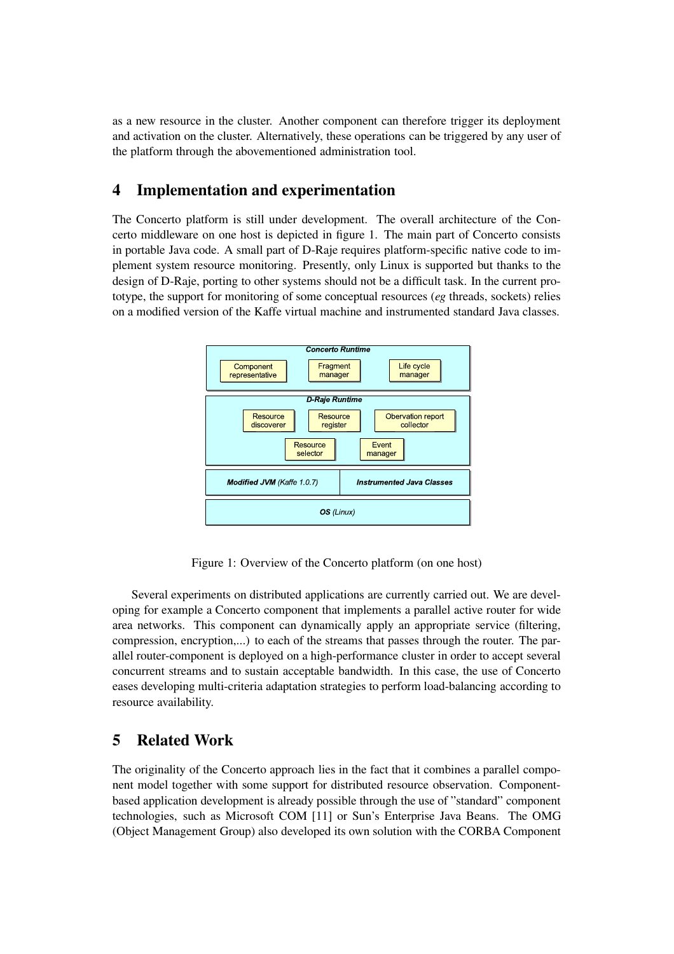as a new resource in the cluster. Another component can therefore trigger its deployment and activation on the cluster. Alternatively, these operations can be triggered by any user of the platform through the abovementioned administration tool.

# **4 Implementation and experimentation**

The Concerto platform is still under development. The overall architecture of the Concerto middleware on one host is depicted in figure 1. The main part of Concerto consists in portable Java code. A small part of D-Raje requires platform-specific native code to implement system resource monitoring. Presently, only Linux is supported but thanks to the design of D-Raje, porting to other systems should not be a difficult task. In the current prototype, the support for monitoring of some conceptual resources (*eg* threads, sockets) relies on a modified version of the Kaffe virtual machine and instrumented standard Java classes.



Figure 1: Overview of the Concerto platform (on one host)

Several experiments on distributed applications are currently carried out. We are developing for example a Concerto component that implements a parallel active router for wide area networks. This component can dynamically apply an appropriate service (filtering, compression, encryption,...) to each of the streams that passes through the router. The parallel router-component is deployed on a high-performance cluster in order to accept several concurrent streams and to sustain acceptable bandwidth. In this case, the use of Concerto eases developing multi-criteria adaptation strategies to perform load-balancing according to resource availability.

# **5 Related Work**

The originality of the Concerto approach lies in the fact that it combines a parallel component model together with some support for distributed resource observation. Componentbased application development is already possible through the use of "standard" component technologies, such as Microsoft COM [11] or Sun's Enterprise Java Beans. The OMG (Object Management Group) also developed its own solution with the CORBA Component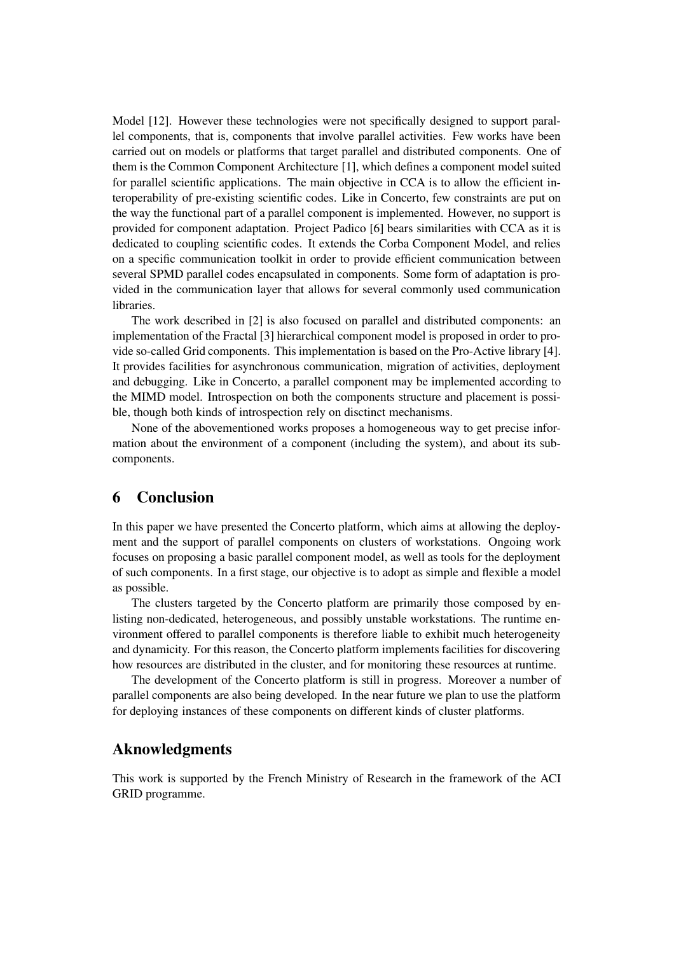Model [12]. However these technologies were not specifically designed to support parallel components, that is, components that involve parallel activities. Few works have been carried out on models or platforms that target parallel and distributed components. One of them is the Common Component Architecture [1], which defines a component model suited for parallel scientific applications. The main objective in CCA is to allow the efficient interoperability of pre-existing scientific codes. Like in Concerto, few constraints are put on the way the functional part of a parallel component is implemented. However, no support is provided for component adaptation. Project Padico [6] bears similarities with CCA as it is dedicated to coupling scientific codes. It extends the Corba Component Model, and relies on a specific communication toolkit in order to provide efficient communication between several SPMD parallel codes encapsulated in components. Some form of adaptation is provided in the communication layer that allows for several commonly used communication libraries.

The work described in [2] is also focused on parallel and distributed components: an implementation of the Fractal [3] hierarchical component model is proposed in order to provide so-called Grid components. This implementation is based on the Pro-Active library [4]. It provides facilities for asynchronous communication, migration of activities, deployment and debugging. Like in Concerto, a parallel component may be implemented according to the MIMD model. Introspection on both the components structure and placement is possible, though both kinds of introspection rely on disctinct mechanisms.

None of the abovementioned works proposes a homogeneous way to get precise information about the environment of a component (including the system), and about its subcomponents.

## **6 Conclusion**

In this paper we have presented the Concerto platform, which aims at allowing the deployment and the support of parallel components on clusters of workstations. Ongoing work focuses on proposing a basic parallel component model, as well as tools for the deployment of such components. In a first stage, our objective is to adopt as simple and flexible a model as possible.

The clusters targeted by the Concerto platform are primarily those composed by enlisting non-dedicated, heterogeneous, and possibly unstable workstations. The runtime environment offered to parallel components is therefore liable to exhibit much heterogeneity and dynamicity. For this reason, the Concerto platform implements facilities for discovering how resources are distributed in the cluster, and for monitoring these resources at runtime.

The development of the Concerto platform is still in progress. Moreover a number of parallel components are also being developed. In the near future we plan to use the platform for deploying instances of these components on different kinds of cluster platforms.

### **Aknowledgments**

This work is supported by the French Ministry of Research in the framework of the ACI GRID programme.